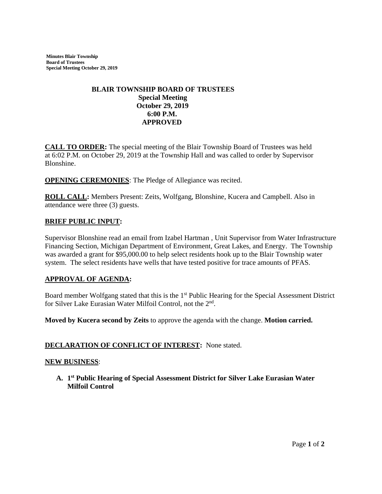**Minutes Blair Township Board of Trustees Special Meeting October 29, 2019** 

# **BLAIR TOWNSHIP BOARD OF TRUSTEES Special Meeting October 29, 2019 6:00 P.M. APPROVED**

**CALL TO ORDER:** The special meeting of the Blair Township Board of Trustees was held at 6:02 P.M. on October 29, 2019 at the Township Hall and was called to order by Supervisor Blonshine.

**OPENING CEREMONIES**: The Pledge of Allegiance was recited.

**ROLL CALL:** Members Present: Zeits, Wolfgang, Blonshine, Kucera and Campbell. Also in attendance were three (3) guests.

### **BRIEF PUBLIC INPUT:**

Supervisor Blonshine read an email from Izabel Hartman , Unit Supervisor from Water Infrastructure Financing Section, Michigan Department of Environment, Great Lakes, and Energy. The Township was awarded a grant for \$95,000.00 to help select residents hook up to the Blair Township water system. The select residents have wells that have tested positive for trace amounts of PFAS.

### **APPROVAL OF AGENDA:**

Board member Wolfgang stated that this is the 1<sup>st</sup> Public Hearing for the Special Assessment District for Silver Lake Eurasian Water Milfoil Control, not the 2<sup>nd</sup>.

**Moved by Kucera second by Zeits** to approve the agenda with the change. **Motion carried.** 

#### **DECLARATION OF CONFLICT OF INTEREST:** None stated.

#### **NEW BUSINESS**:

**A. 1 st Public Hearing of Special Assessment District for Silver Lake Eurasian Water Milfoil Control**